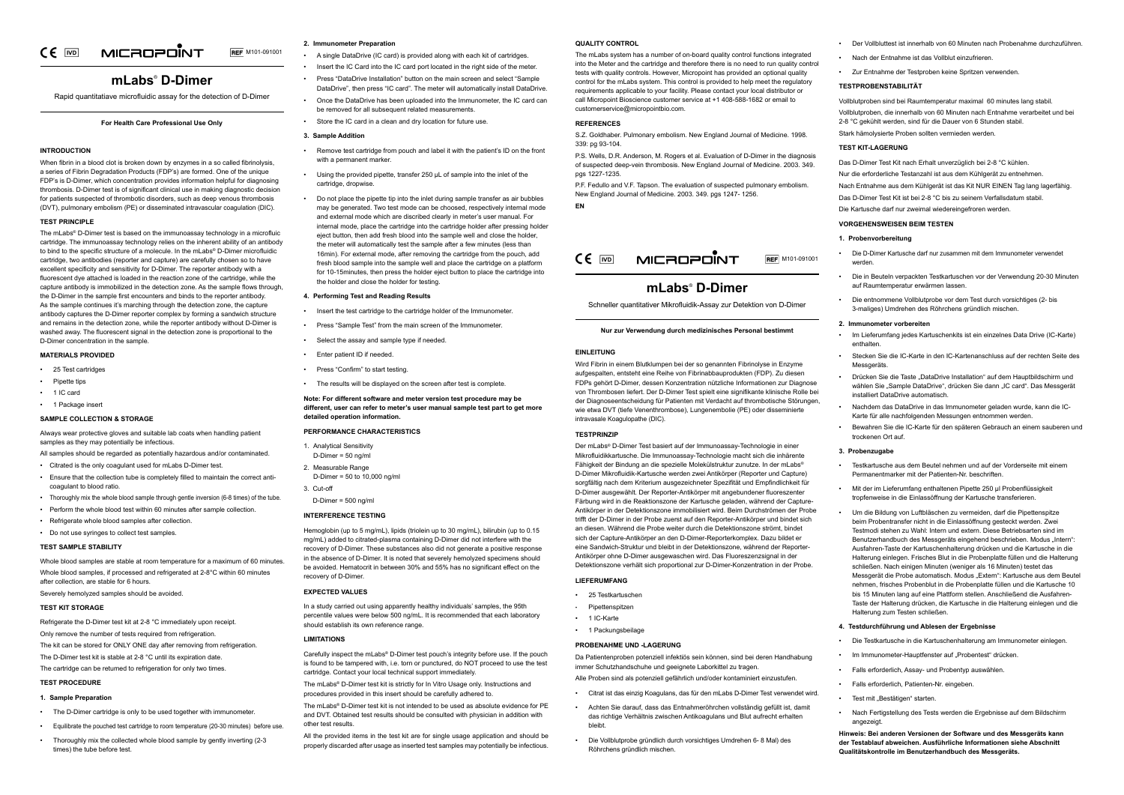#### CE MICROPOINT **REF** M101-091001

## **mLabs**®  **D-Dimer**

Rapid quantitatiave microfluidic assay for the detection of D-Dimer

## **For Health Care Professional Use Only**

## **INTRODUCTION**

When fibrin in a blood clot is broken down by enzymes in a so called fibrinolysis. a series of Fibrin Degradation Products (FDP's) are formed. One of the unique FDP's is D-Dimer, which concentration provides information helpful for diagnosing thrombosis. D-Dimer test is of significant clinical use in making diagnostic decision for patients suspected of thrombotic disorders, such as deep venous thrombosis (DVT), pulmonary embolism (PE) or disseminated intravascular coagulation (DIC).

## **TEST PRINCIPLE**

The mLabs® D-Dimer test is based on the immunoassay technology in a microfluic cartridge. The immunoassay technology relies on the inherent ability of an antibody to bind to the specific structure of a molecule. In the mLabs® D-Dimer microfluidic cartridge, two antibodies (reporter and capture) are carefully chosen so to have excellent specificity and sensitivity for D-Dimer. The reporter antibody with a fluorescent dye attached is loaded in the reaction zone of the cartridge, while the capture antibody is immobilized in the detection zone. As the sample flows through the D-Dimer in the sample first encounters and binds to the reporter antibody. As the sample continues it's marching through the detection zone, the capture antibody captures the D-Dimer reporter complex by forming a sandwich structure and remains in the detection zone, while the reporter antibody without D-Dimer is washed away. The fluorescent signal in the detection zone is proportional to the D-Dimer concentration in the sample.

The D-Dimer test kit is stable at 2-8 °C until its expiration date. The cartridge can be returned to refrigeration for only two times.

## **MATERIALS PROVIDED**

- 25 Test cartridges
- Pipette tips
- 1 IC card
- 1 Package insert

## **SAMPLE COLLECTION & STORAGE**

Always wear protective gloves and suitable lab coats when handling patient samples as they may potentially be infectious.

All samples should be regarded as potentially hazardous and/or contaminated.

- Citrated is the only coagulant used for mLabs D-Dimer test.
- Ensure that the collection tube is completely filled to maintain the correct anticoagulant to blood ratio.
- Thoroughly mix the whole blood sample through gentle inversion (6-8 times) of the tube.
- Perform the whole blood test within 60 minutes after sample collection.
- Refrigerate whole blood samples after collection.
- Do not use syringes to collect test samples.

## **TEST SAMPLE STABILITY**

Whole blood samples are stable at room temperature for a maximum of 60 minutes. Whole blood samples, if processed and refrigerated at 2-8°C within 60 minutes after collection, are stable for 6 hours.

Severely hemolyzed samples should be avoided.

## **TEST KIT STORAGE**

Refrigerate the D-Dimer test kit at 2-8 °C immediately upon receipt.

Only remove the number of tests required from refrigeration.

The kit can be stored for ONLY ONE day after removing from refrigeration.

## **TEST PROCEDURE**

## **1. Sample Preparation**

- The D-Dimer cartridge is only to be used together with immunometer.
- Equilibrate the pouched test cartridge to room temperature (20-30 minutes) before use.
- Thoroughly mix the collected whole blood sample by gently inverting (2-3 times) the tube before test.

The mLabs® D-Dimer test kit is strictly for In Vitro Usage only. Instructions and procedures provided in this insert should be carefully adhered to.

- **2. Immunometer Preparation**
- A single DataDrive (IC card) is provided along with each kit of cartridges.
- Insert the IC Card into the IC card port located in the right side of the meter.
- Press "DataDrive Installation" button on the main screen and select "Sample DataDrive", then press "IC card". The meter will automatically install DataDrive.
- Once the DataDrive has been uploaded into the Immunometer, the IC card can be removed for all subsequent related measurements.
- Store the IC card in a clean and dry location for future use.

## **3. Sample Addition**

- Remove test cartridge from pouch and label it with the patient's ID on the front with a permanent marker.
- Using the provided pipette, transfer 250 μL of sample into the inlet of the cartridge, dropwise.
- Do not place the pipette tip into the inlet during sample transfer as air bubbles may be generated. Two test mode can be choosed, respectively internal mode and external mode which are discribed clearly in meter's user manual. For internal mode, place the cartridge into the cartridge holder after pressing holder eject button, then add fresh blood into the sample well and close the holder, the meter will automatically test the sample after a few minutes (less than 16min). For external mode, after removing the cartridge from the pouch, add fresh blood sample into the sample well and place the cartridge on a platform for 10-15minutes, then press the holder eject button to place the cartridge into the holder and close the holder for testing.

- 25 Testkartuschen
- Pipettenspitzen
- 1 IC-Karte
- 1 Packungsbeilage

## **4. Performing Test and Reading Results**

- Insert the test cartridge to the cartridge holder of the Immunometer.
- Press "Sample Test" from the main screen of the Immunometer.
- Select the assay and sample type if needed.
- Enter patient ID if needed.
- Press "Confirm" to start testing.
- The results will be displayed on the screen after test is complete.

**Note: For different software and meter version test procedure may be different, user can refer to meter's user manual sample test part to get more detailed operation information.**

## **PERFORMANCE CHARACTERISTICS**

- 1. Analytical Sensitivity D-Dimer = 50 ng/ml
- 2. Measurable Range D-Dimer = 50 to 10,000 ng/ml
- 3. Cut-off

D-Dimer = 500 ng/ml

#### **INTERFERENCE TESTING**

Hemoglobin (up to 5 mg/mL), lipids (triolein up to 30 mg/mL), bilirubin (up to 0.15 mg/mL) added to citrated-plasma containing D-Dimer did not interfere with the recovery of D-Dimer. These substances also did not generate a positive response in the absence of D-Dimer. It is noted that severely hemolyzed specimens should be avoided. Hematocrit in between 30% and 55% has no significant effect on the recovery of D-Dimer.

## **EXPECTED VALUES**

In a study carried out using apparently healthy individuals' samples, the 95th percentile values were below 500 ng/mL. It is recommended that each laboratory should establish its own reference range.

## **LIMITATIONS**

Carefully inspect the mLabs® D-Dimer test pouch's integrity before use. If the pouch is found to be tampered with, i.e. torn or punctured, do NOT proceed to use the test cartridge. Contact your local technical support immediately.

The mLabs® D-Dimer test kit is not intended to be used as absolute evidence for PE and DVT. Obtained test results should be consulted with physician in addition with other test results.

All the provided items in the test kit are for single usage application and should be properly discarded after usage as inserted test samples may potentially be infectious.

## **QUALITY CONTROL**

The mLabs system has a number of on-board quality control functions integrated into the Meter and the cartridge and therefore there is no need to run quality control tests with quality controls. However, Micropoint has provided an optional quality control for the mLabs system. This control is provided to help meet the regulatory requirements applicable to your facility. Please contact your local distributor or call Micropoint Bioscience customer service at +1 408-588-1682 or email to customerservice@micropointbio.com.

## **REFERENCES**

S.Z. Goldhaber. Pulmonary embolism. New England Journal of Medicine. 1998. 339: pg 93-104.

P.S. Wells, D.R. Anderson, M. Rogers et al. Evaluation of D-Dimer in the diagnosis of suspected deep-vein thrombosis. New England Journal of Medicine. 2003. 349. pgs 1227-1235.

P.F. Fedullo and V.F. Tapson. The evaluation of suspected pulmonary embolism. New England Journal of Medicine. 2003. 349. pgs 1247- 1256.

**EN**

# **mLabs**®  **D-Dimer**

Schneller quantitativer Mikrofluidik-Assay zur Detektion von D-Dimer



## **Nur zur Verwendung durch medizinisches Personal bestimmt**

#### **EINLEITUNG**

Wird Fibrin in einem Blutklumpen bei der so genannten Fibrinolyse in Enzyme aufgespalten, entsteht eine Reihe von Fibrinabbauprodukten (FDP). Zu diesen FDPs gehört D-Dimer, dessen Konzentration nützliche Informationen zur Diagnose von Thrombosen liefert. Der D-Dimer Test spielt eine signifikante klinische Rolle bei der Diagnoseentscheidung für Patienten mit Verdacht auf thrombotische Störungen, wie etwa DVT (tiefe Venenthrombose), Lungenembolie (PE) oder disseminierte intravasale Koagulopathe (DIC).

## **TESTPRINZIP**

Der mLabs® D-Dimer Test basiert auf der Immunoassay-Technologie in einer Mikrofluidikkartusche. Die Immunoassay-Technologie macht sich die inhärente Fähigkeit der Bindung an die spezielle Molekülstruktur zunutze. In der mLabs® D-Dimer Mikrofluidik-Kartusche werden zwei Antikörper (Reporter und Capture) sorgfältig nach dem Kriterium ausgezeichneter Spezifität und Empfindlichkeit für D-Dimer ausgewählt. Der Reporter-Antikörper mit angebundener fluoreszenter Färbung wird in die Reaktionszone der Kartusche geladen, während der Capture-Antikörper in der Detektionszone immobilisiert wird. Beim Durchströmen der Probe trifft der D-Dimer in der Probe zuerst auf den Reporter-Antikörper und bindet sich an diesen. Während die Probe weiter durch die Detektionszone strömt, bindet sich der Capture-Antikörper an den D-Dimer-Reporterkomplex. Dazu bildet er eine Sandwich-Struktur und bleibt in der Detektionszone, während der Reporter-Antikörper ohne D-Dimer ausgewaschen wird. Das Fluoreszenzsignal in der Detektionszone verhält sich proportional zur D-Dimer-Konzentration in der Probe.

## **LIEFERUMFANG**

## **PROBENAHME UND -LAGERUNG**

Da Patientenproben potenziell infektiös sein können, sind bei deren Handhabung immer Schutzhandschuhe und geeignete Laborkittel zu tragen.

Alle Proben sind als potenziell gefährlich und/oder kontaminiert einzustufen.

- Citrat ist das einzig Koagulans, das für den mLabs D-Dimer Test verwendet wird.
- Achten Sie darauf, dass das Entnahmeröhrchen vollständig gefüllt ist, damit das richtige Verhältnis zwischen Antikoagulans und Blut aufrecht erhalten bleibt.
- Die Vollblutprobe gründlich durch vorsichtiges Umdrehen 6- 8 Mal) des Röhrchens gründlich mischen.

- Der Vollbluttest ist innerhalb von 60 Minuten nach Probenahme durchzuführen.
- Nach der Entnahme ist das Vollblut einzufrieren.
- Zur Entnahme der Testproben keine Spritzen verwenden.

## **TESTPROBENSTABILITÄT**

- Vollblutproben sind bei Raumtemperatur maximal 60 minutes lang stabil.
- Vollblutproben, die innerhalb von 60 Minuten nach Entnahme verarbeitet und bei 2-8 °C gekühlt werden, sind für die Dauer von 6 Stunden stabil.
- Stark hämolysierte Proben sollten vermieden werden.

## **TEST KIT-LAGERUNG**

- Das D-Dimer Test Kit nach Erhalt unverzüglich bei 2-8 °C kühlen.
- Nur die erforderliche Testanzahl ist aus dem Kühlgerät zu entnehmen.
- Nach Entnahme aus dem Kühlgerät ist das Kit NUR EINEN Tag lang lagerfähig.
- Das D-Dimer Test Kit ist bei 2-8 °C bis zu seinem Verfallsdatum stabil.
- Die Kartusche darf nur zweimal wiedereingefroren werden.

## **VORGEHENSWEISEN BEIM TESTEN**

#### **1. Probenvorbereitung**

- Die D-Dimer Kartusche darf nur zusammen mit dem Immunometer verwendet werden.
	- Die in Beuteln verpackten Testkartuschen vor der Verwendung 20-30 Minuten auf Raumtemperatur erwärmen lassen.
- Die entnommene Vollblutprobe vor dem Test durch vorsichtiges (2- bis 3-maliges) Umdrehen des Röhrchens gründlich mischen.

## **2. Immunometer vorbereiten**

- Im Lieferumfang jedes Kartuschenkits ist ein einzelnes Data Drive (IC-Karte) enthalten.
- Stecken Sie die IC-Karte in den IC-Kartenanschluss auf der rechten Seite des Messgeräts.
- Drücken Sie die Taste "DataDrive Installation" auf dem Hauptbildschirm und wählen Sie "Sample DataDrive", drücken Sie dann "IC card". Das Messgerät installiert DataDrive automatisch.
- Nachdem das DataDrive in das Immunometer geladen wurde, kann die IC-Karte für alle nachfolgenden Messungen entnommen werden.
- Bewahren Sie die IC-Karte für den späteren Gebrauch an einem sauberen und trockenen Ort auf.

## **3. Probenzugabe**

- Testkartusche aus dem Beutel nehmen und auf der Vorderseite mit einem Permanentmarker mit der Patienten-Nr. beschriften.
- Mit der im Lieferumfang enthaltenen Pipette 250 μl Probenflüssigkeit tropfenweise in die Einlassöffnung der Kartusche transferieren.
- Um die Bildung von Luftbläschen zu vermeiden, darf die Pipettenspitze beim Probentransfer nicht in die Einlassöffnung gesteckt werden. Zwei Testmodi stehen zu Wahl: Intern und extern. Diese Betriebsarten sind im Benutzerhandbuch des Messgeräts eingehend beschrieben. Modus "Intern": Ausfahren-Taste der Kartuschenhalterung drücken und die Kartusche in die Halterung einlegen. Frisches Blut in die Probenplatte füllen und die Halterung schließen. Nach einigen Minuten (weniger als 16 Minuten) testet das Messgerät die Probe automatisch. Modus "Extern": Kartusche aus dem Beutel nehmen, frisches Probenblut in die Probenplatte füllen und die Kartusche 10 bis 15 Minuten lang auf eine Plattform stellen. Anschließend die Ausfahren-Taste der Halterung drücken, die Kartusche in die Halterung einlegen und die Halterung zum Testen schließen.

## **4. Testdurchführung und Ablesen der Ergebnisse**

- Die Testkartusche in die Kartuschenhalterung am Immunometer einlegen.
- Im Immunometer-Hauptfenster auf "Probentest" drücken.
- Falls erforderlich, Assay- und Probentyp auswählen.
- Falls erforderlich, Patienten-Nr. eingeben.
- Test mit "Bestätigen" starten.
- Nach Fertigstellung des Tests werden die Ergebnisse auf dem Bildschirm angezeigt.
- **Hinweis: Bei anderen Versionen der Software und des Messgeräts kann der Testablauf abweichen. Ausführliche Informationen siehe Abschnitt Qualitätskontrolle im Benutzerhandbuch des Messgeräts.**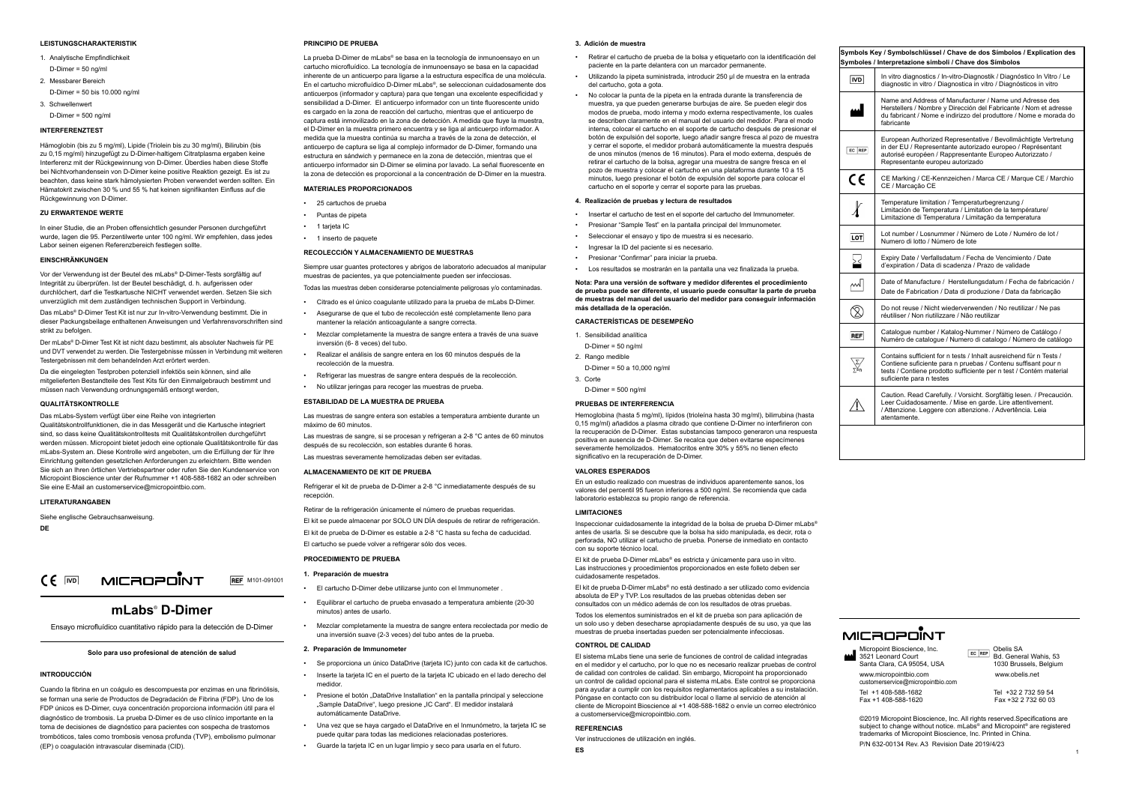## **LEISTUNGSCHARAKTERISTIK**

- 1. Analytische Empfindlichkeit
- D-Dimer =  $50 \text{ nq/m}$
- 2. Messbarer Bereich D-Dimer = 50 bis 10.000 ng/ml
- 3. Schwellenwert

D-Dimer = 500 ng/ml

## **INTERFERENZTEST**

Hämoglobin (bis zu 5 mg/ml), Lipide (Triolein bis zu 30 mg/ml), Bilirubin (bis zu 0,15 mg/ml) hinzugefügt zu D-Dimer-haltigem Citratplasma ergaben keine Interferenz mit der Rückgewinnung von D-Dimer. Überdies haben diese Stoffe bei Nichtvorhandensein von D-Dimer keine positive Reaktion gezeigt. Es ist zu beachten, dass keine stark hämolysierten Proben verwendet werden sollten. Ein Hämatokrit zwischen 30 % und 55 % hat keinen signifikanten Einfluss auf die Rückgewinnung von D-Dimer.

Das mLabs® D-Dimer Test Kit ist nur zur In-vitro-Verwendung bestimmt. Die in dieser Packungsbeilage enthaltenen Anweisungen und Verfahrensvorschriften sind strikt zu befolgen.

## **ZU ERWARTENDE WERTE**

In einer Studie, die an Proben offensichtlich gesunder Personen durchgeführt wurde, lagen die 95. Perzentilwerte unter 100 ng/ml. Wir empfehlen, dass jedes Labor seinen eigenen Referenzbereich festlegen sollte.

#### **EINSCHRÄNKUNGEN**

Vor der Verwendung ist der Beutel des mLabs® D-Dimer-Tests sorgfältig auf Integrität zu überprüfen. Ist der Beutel beschädigt, d. h. aufgerissen oder durchlöchert, darf die Testkartusche NICHT verwendet werden. Setzen Sie sich unverzüglich mit dem zuständigen technischen Support in Verbindung.

Der mLabs® D-Dimer Test Kit ist nicht dazu bestimmt, als absoluter Nachweis für PE und DVT verwendet zu werden. Die Testergebnisse müssen in Verbindung mit weiteren Testergebnissen mit dem behandelnden Arzt erörtert werden.

Da die eingelegten Testproben potenziell infektiös sein können, sind alle mitgelieferten Bestandteile des Test Kits für den Einmalgebrauch bestimmt und müssen nach Verwendung ordnungsgemäß entsorgt werden,

#### **QUALITÄTSKONTROLLE**

Das mLabs-System verfügt über eine Reihe von integrierten Qualitätskontrollfunktionen, die in das Messgerät und die Kartusche integriert sind, so dass keine Qualitätskontrolltests mit Qualitätskontrollen durchgeführt werden müssen. Micropoint bietet jedoch eine optionale Qualitätskontrolle für das mLabs-System an. Diese Kontrolle wird angeboten, um die Erfüllung der für Ihre Einrichtung geltenden gesetzlichen Anforderungen zu erleichtern. Bitte wenden Sie sich an Ihren örtlichen Vertriebspartner oder rufen Sie den Kundenservice von Micropoint Bioscience unter der Rufnummer +1 408-588-1682 an oder schreiben Sie eine E-Mail an customerservice@micropointbio.com.

#### **LITERATURANGABEN**

Siehe englische Gebrauchsanweisung.

**DE**

## **mLabs**®  **D-Dimer**

Ensayo microfluídico cuantitativo rápido para la detección de D-Dimer



## **Solo para uso profesional de atención de salud**

#### **INTRODUCCIÓN**

Cuando la fibrina en un coágulo es descompuesta por enzimas en una fibrinólisis, se forman una serie de Productos de Degradación de Fibrina (FDP). Uno de los FDP únicos es D-Dimer, cuya concentración proporciona información útil para el diagnóstico de trombosis. La prueba D-Dimer es de uso clínico importante en la toma de decisiones de diagnóstico para pacientes con sospecha de trastornos trombóticos, tales como trombosis venosa profunda (TVP), embolismo pulmonar (EP) o coagulación intravascular diseminada (CID).

#### **PRINCIPIO DE PRUEBA**

La prueba D-Dimer de mLabs® se basa en la tecnología de inmunoensayo en un cartucho microfluídico. La tecnología de inmunoensayo se basa en la capacidad inherente de un anticuerpo para ligarse a la estructura específica de una molécula. En el cartucho microfluídico D-Dimer mLabs®, se seleccionan cuidadosamente dos anticuerpos (informador y captura) para que tengan una excelente especificidad y sensibilidad a D-Dimer. El anticuerpo informador con un tinte fluorescente unido es cargado en la zona de reacción del cartucho, mientras que el anticuerpo de captura está inmovilizado en la zona de detección. A medida que fluye la muestra, el D-Dimer en la muestra primero encuentra y se liga al anticuerpo informador. A medida que la muestra continúa su marcha a través de la zona de detección, el anticuerpo de captura se liga al complejo informador de D-Dimer, formando una estructura en sándwich y permanece en la zona de detección, mientras que el anticuerpo informador sin D-Dimer se elimina por lavado. La señal fluorescente en la zona de detección es proporcional a la concentración de D-Dimer en la muestra.

## **MATERIALES PROPORCIONADOS**

- 25 cartuchos de prueba
- Puntas de pipeta
- 1 tarieta IC
- 1 inserto de paquete

## **RECOLECCIÓN Y ALMACENAMIENTO DE MUESTRAS**

Siempre usar guantes protectores y abrigos de laboratorio adecuados al manipular muestras de pacientes, ya que potencialmente pueden ser infecciosas. Todas las muestras deben considerarse potencialmente peligrosas y/o contaminadas.

- Citrado es el único coagulante utilizado para la prueba de mLabs D-Dimer.
- Asegurarse de que el tubo de recolección esté completamente lleno para mantener la relación anticoagulante a sangre correcta.
- Mezclar completamente la muestra de sangre entera a través de una suave inversión (6- 8 veces) del tubo.
- Realizar el análisis de sangre entera en los 60 minutos después de la recolección de la muestra.
- Refrigerar las muestras de sangre entera después de la recolección.
- No utilizar jeringas para recoger las muestras de prueba.

#### **ESTABILIDAD DE LA MUESTRA DE PRUEBA**

Las muestras de sangre entera son estables a temperatura ambiente durante un máximo de 60 minutos.

Las muestras de sangre, si se procesan y refrigeran a 2-8 °C antes de 60 minutos después de su recolección, son estables durante 6 horas.

Las muestras severamente hemolizadas deben ser evitadas.

## **ALMACENAMIENTO DE KIT DE PRUEBA**

Refrigerar el kit de prueba de D-Dimer a 2-8 °C inmediatamente después de su recepción.

Retirar de la refrigeración únicamente el número de pruebas requeridas.

El kit se puede almacenar por SOLO UN DÍA después de retirar de refrigeración. El kit de prueba de D-Dimer es estable a 2-8 °C hasta su fecha de caducidad.

El cartucho se puede volver a refrigerar sólo dos veces.

### **PROCEDIMIENTO DE PRUEBA**

- **1. Preparación de muestra**
- El cartucho D-Dimer debe utilizarse junto con el Immunometer .
- Equilibrar el cartucho de prueba envasado a temperatura ambiente (20-30 minutos) antes de usarlo.
- Mezclar completamente la muestra de sangre entera recolectada por medio de una inversión suave (2-3 veces) del tubo antes de la prueba.
- **2. Preparación de Immunometer**

medidor.

- Se proporciona un único DataDrive (tarjeta IC) junto con cada kit de cartuchos.
- Inserte la tarjeta IC en el puerto de la tarjeta IC ubicado en el lado derecho del
- Presione el botón "DataDrive Installation" en la pantalla principal y seleccione "Sample DataDrive", luego presione "IC Card". El medidor instalará automáticamente DataDrive.
- Una vez que se haya cargado el DataDrive en el Inmunómetro, la tarjeta IC se puede quitar para todas las mediciones relacionadas posteriores.
- Guarde la tarjeta IC en un lugar limpio y seco para usarla en el futuro.

#### **3. Adición de muestra**

- Retirar el cartucho de prueba de la bolsa y etiquetarlo con la identificación del paciente en la parte delantera con un marcador permanente.
- Utilizando la pipeta suministrada, introducir 250 μl de muestra en la entrada del cartucho, gota a gota.
- No colocar la punta de la pipeta en la entrada durante la transferencia de muestra, ya que pueden generarse burbujas de aire. Se pueden elegir dos modos de prueba, modo interna y modo externa respectivamente, los cuales se describen claramente en el manual del usuario del medidor. Para el modo interna, colocar el cartucho en el soporte de cartucho después de presionar el botón de expulsión del soporte, luego añadir sangre fresca al pozo de muestra y cerrar el soporte, el medidor probará automáticamente la muestra después de unos minutos (menos de 16 minutos). Para el modo externa, después de retirar el cartucho de la bolsa, agregar una muestra de sangre fresca en el pozo de muestra y colocar el cartucho en una plataforma durante 10 a 15 minutos, luego presionar el botón de expulsión del soporte para colocar el cartucho en el soporte y cerrar el soporte para las pruebas.

#### **4. Realización de pruebas y lectura de resultados**

- Insertar el cartucho de test en el soporte del cartucho del Immunometer.
- Presionar "Sample Test" en la pantalla principal del Immunometer.
- Seleccionar el ensayo y tipo de muestra si es necesario.
- Ingresar la ID del paciente si es necesario.
- Presionar "Confirmar" para iniciar la prueba.
- Los resultados se mostrarán en la pantalla una vez finalizada la prueba.

**Nota: Para una versión de software y medidor diferentes el procedimiento de prueba puede ser diferente, el usuario puede consultar la parte de prueba de muestras del manual del usuario del medidor para conseguir información más detallada de la operación.**

#### **CARACTERÍSTICAS DE DESEMPEÑO**

- 1. Sensibilidad analítica
- D-Dimer =  $50 \text{ nq/ml}$
- 2. Rango medible
- D-Dimer = 50 a 10,000 ng/ml
- 3. Corte
- D-Dimer = 500 ng/ml

#### **PRUEBAS DE INTERFERENCIA**

Hemoglobina (hasta 5 mg/ml), lípidos (trioleína hasta 30 mg/ml), bilirrubina (hasta 0,15 mg/ml) añadidos a plasma citrado que contiene D-Dimer no interfirieron con la recuperación de D-Dimer. Estas substancias tampoco generaron una respuesta positiva en ausencia de D-Dimer. Se recalca que deben evitarse especímenes severamente hemolizados. Hematocritos entre 30% y 55% no tienen efecto significativo en la recuperación de D-Dimer.

#### **VALORES ESPERADOS**

En un estudio realizado con muestras de individuos aparentemente sanos, los valores del percentil 95 fueron inferiores a 500 ng/ml. Se recomienda que cada laboratorio establezca su propio rango de referencia.

#### **LIMITACIONES**

Inspeccionar cuidadosamente la integridad de la bolsa de prueba D-Dimer mLabs® antes de usarla. Si se descubre que la bolsa ha sido manipulada, es decir, rota o perforada, NO utilizar el cartucho de prueba. Ponerse de inmediato en contacto con su soporte técnico local.

El kit de prueba D-Dimer mLabs® es estricta y únicamente para uso in vitro. Las instrucciones y procedimientos proporcionados en este folleto deben ser cuidadosamente respetados.

El kit de prueba D-Dimer mLabs® no está destinado a ser utilizado como evidencia absoluta de EP y TVP. Los resultados de las pruebas obtenidas deben ser consultados con un médico además de con los resultados de otras pruebas.

Todos los elementos suministrados en el kit de prueba son para aplicación de un solo uso y deben desecharse apropiadamente después de su uso, ya que las muestras de prueba insertadas pueden ser potencialmente infecciosas.

#### **CONTROL DE CALIDAD**

El sistema mLabs tiene una serie de funciones de control de calidad integradas en el medidor y el cartucho, por lo que no es necesario realizar pruebas de control de calidad con controles de calidad. Sin embargo, Micropoint ha proporcionado un control de calidad opcional para el sistema mLabs. Este control se proporciona para ayudar a cumplir con los requisitos reglamentarios aplicables a su instalación. Póngase en contacto con su distribuidor local o llame al servicio de atención al cliente de Micropoint Bioscience al +1 408-588-1682 o envíe un correo electrónico a customerservice@micropointbio.com.

#### **REFERENCIAS**

Ver instrucciones de utilización en inglés.

**ES**

| Symbols Key / Symbolschlüssel / Chave de dos Símbolos / Explication des<br>Symboles / Interpretazione simboli / Chave dos Símbolos |                                                                                                                                                                                                                                       |
|------------------------------------------------------------------------------------------------------------------------------------|---------------------------------------------------------------------------------------------------------------------------------------------------------------------------------------------------------------------------------------|
| $ \overline{VD} $                                                                                                                  | In vitro diagnostics / In-vitro-Diagnostik / Diagnóstico In Vitro / Le<br>diagnostic in vitro / Diagnostica in vitro / Diagnósticos in vitro                                                                                          |
|                                                                                                                                    | Name and Address of Manufacturer / Name und Adresse des<br>Herstellers / Nombre y Dirección del Fabricante / Nom et adresse<br>du fabricant / Nome e indirizzo del produttore / Nome e morada do<br>fabricante                        |
| EC REP                                                                                                                             | European Authorized Representative / Bevollmächtigte Vertretung<br>in der EU / Representante autorizado europeo / Représentant<br>autorisé européen / Rappresentante Europeo Autorizzato /<br>Representante europeu autorizado        |
| CE                                                                                                                                 | CE Marking / CE-Kennzeichen / Marca CE / Marque CE / Marchio<br>CE / Marcação CE                                                                                                                                                      |
|                                                                                                                                    | Temperature limitation / Temperaturbegrenzung /<br>Limitación de Temperatura / Limitation de la température/<br>Limitazione di Temperatura / Limitação da temperatura                                                                 |
| <b>LOT</b>                                                                                                                         | Lot number / Losnummer / Número de Lote / Numéro de lot /<br>Numero di lotto / Número de lote                                                                                                                                         |
| 심                                                                                                                                  | Expiry Date / Verfallsdatum / Fecha de Vencimiento / Date<br>d'expiration / Data di scadenza / Prazo de validade                                                                                                                      |
| $\overline{\mathbb{M}}$                                                                                                            | Date of Manufacture / Herstellungsdatum / Fecha de fabricación /<br>Date de Fabrication / Data di produzione / Data da fabricação                                                                                                     |
|                                                                                                                                    | Do not reuse / Nicht wiederverwenden / No reutilizar / Ne pas<br>réutiliser / Non riutilizzare / Não reutilizar                                                                                                                       |
| <b>REF</b>                                                                                                                         | Catalogue number / Katalog-Nummer / Número de Catálogo /<br>Numéro de catalogue / Numero di catalogo / Número de catálogo                                                                                                             |
| $\sum_{\Sigma=n}$                                                                                                                  | Contains sufficient for n tests / Inhalt ausreichend für n Tests /<br>Contiene suficiente para n pruebas / Contenu suffisant pour n<br>tests / Contiene prodotto sufficiente per n test / Contém material<br>suficiente para n testes |
|                                                                                                                                    | Caution. Read Carefully. / Vorsicht. Sorgfältig lesen. / Precaución.<br>Leer Cuidadosamente. / Mise en garde. Lire attentivement.<br>/ Attenzione. Leggere con attenzione. / Advertência. Leia<br>atentamente.                        |
|                                                                                                                                    |                                                                                                                                                                                                                                       |

# MICAOPOINT

Micropoint Bioscience, Inc.<br>3521 Leonard Court Santa Clara, CA 95054, USA

www.micropointbio.com www.obelis.net customerservice@micropointbio.com

Fax +1 408-588-1620

Obelis SA<br>Bd. General Wahis, 53<br>1030 Brussels, Belgium

Tel +1 408-588-1682<br>
Fax +1 408-588-1620<br>
Fax +32 2 732 60 03

©2019 Micropoint Bioscience, Inc. All rights reserved.Specifications are subject to change without notice. mLabs<sup>®</sup> and Micropoint<sup>®</sup> are registered trademarks of Micropoint Bioscience, Inc. Printed in China. P/N 632-00134 Rev. A3 Revision Date 2019/4/23

1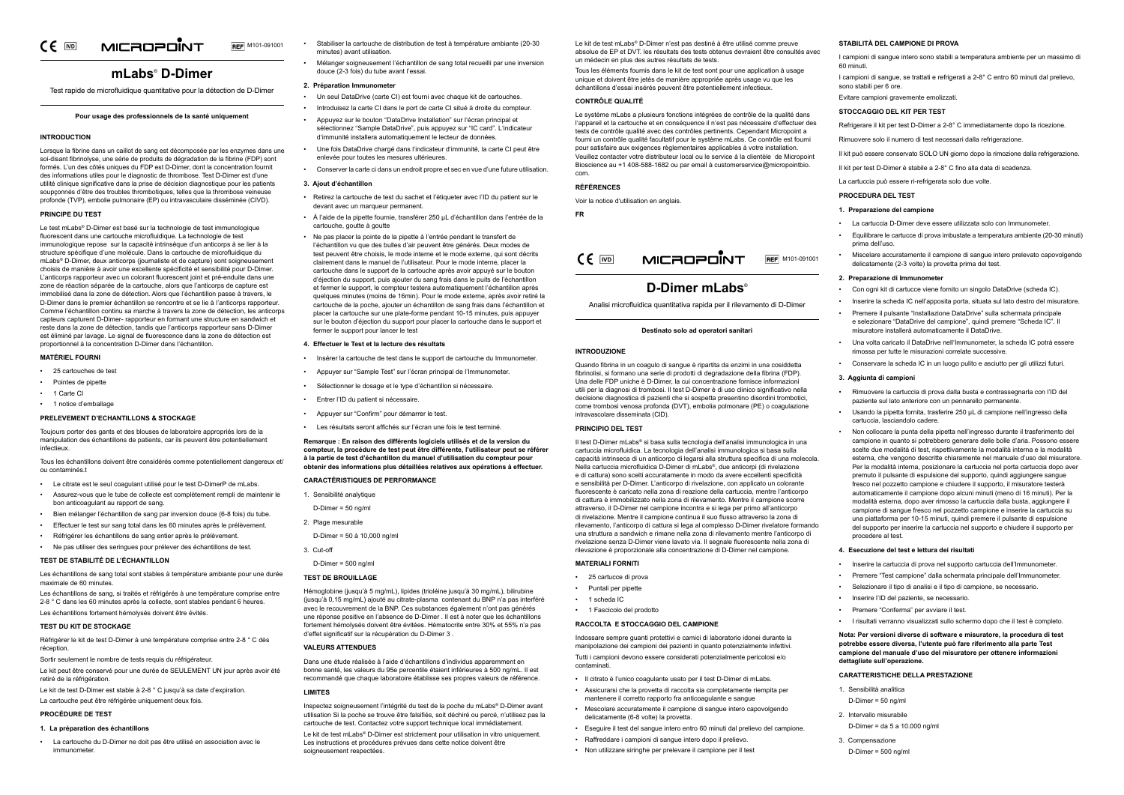#### MICROPONT  $CE$  MD **REF** M101-091001

# **mLabs**®  **D-Dimer**

Test rapide de microfluidique quantitative pour la détection de D-Dimer

## **Pour usage des professionnels de la santé uniquement**

## **INTRODUCTION**

Lorsque la fibrine dans un caillot de sang est décomposée par les enzymes dans une soi-disant fibrinolyse, une série de produits de dégradation de la fibrine (FDP) sont formés. L'un des côtés uniques du FDP est D-Dimer, dont la concentration fournit des informations utiles pour le diagnostic de thrombose. Test D-Dimer est d'une utilité clinique significative dans la prise de décision diagnostique pour les patients soupçonnés d'être des troubles thrombotiques, telles que la thrombose veineuse profonde (TVP), embolie pulmonaire (EP) ou intravasculaire disséminée (CIVD).

#### **PRINCIPE DU TEST**

Le test mLabs® D-Dimer est basé sur la technologie de test immunologique fluorescent dans une cartouche microfluidique. La technologie de test immunologique repose sur la capacité intrinsèque d'un anticorps à se lier à la structure spécifique d'une molécule. Dans la cartouche de microfluidique du mLabs<sup>®</sup> D-Dimer, deux anticorps (journaliste et de capture) sont soigneusement choisis de manière à avoir une excellente spécificité et sensibilité pour D-Dimer. L'anticorps rapporteur avec un colorant fluorescent joint et pré-enduite dans une zone de réaction séparée de la cartouche, alors que l'anticorps de capture est immobilisé dans la zone de détection. Alors que l'échantillon passe à travers, le D-Dimer dans le premier échantillon se rencontre et se lie à l'anticorps rapporteur. Comme l'échantillon continu sa marche à travers la zone de détection, les anticorps capteurs capturent D-Dimer- rapporteur en formant une structure en sandwich et reste dans la zone de détection, tandis que l'anticorps rapporteur sans D-Dimer est éliminé par lavage. Le signal de fluorescence dans la zone de détection est proportionnel à la concentration D-Dimer dans l'échantillon.

## **MATÉRIEL FOURNI**

- 25 cartouches de test
- Pointes de pipette
- 1 Carte CI
- 1 notice d'emballage

#### **PRELEVEMENT D'ECHANTILLONS & STOCKAGE**

Toujours porter des gants et des blouses de laboratoire appropriés lors de la manipulation des échantillons de patients, car ils peuvent être potentiellement infectieux.

Tous les échantillons doivent être considérés comme potentiellement dangereux et/ ou contaminés.t

- Le citrate est le seul coagulant utilisé pour le test D-DimerP de mLabs.
- Assurez-vous que le tube de collecte est complètement rempli de maintenir le bon anticoagulant au rapport de sang.
- Bien mélanger l'échantillon de sang par inversion douce (6-8 fois) du tube.
- Effectuer le test sur sang total dans les 60 minutes après le prélèvement.
- Réfrigérer les échantillons de sang entier après le prélèvement.

• Ne pas utiliser des seringues pour prélever des échantillons de test.

#### **TEST DE STABILITÉ DE L'ÉCHANTILLON**

Les échantillons de sang total sont stables à température ambiante pour une durée maximale de 60 minutes.

Les échantillons de sang, si traités et réfrigérés à une température comprise entre 2-8 ° C dans les 60 minutes après la collecte, sont stables pendant 6 heures.

Les échantillons fortement hémolysés doivent être évités.

## **TEST DU KIT DE STOCKAGE**

Réfrigérer le kit de test D-Dimer à une température comprise entre 2-8 ° C dès réception.

Sortir seulement le nombre de tests requis du réfrigérateur.

Le kit peut être conservé pour une durée de SEULEMENT UN jour après avoir été retiré de la réfrigération.

Le kit de test D-Dimer est stable à 2-8 ° C jusqu'à sa date d'expiration.

La cartouche peut être réfrigérée uniquement deux fois.

#### **PROCÉDURE DE TEST**

### **1. La préparation des échantillons**

• La cartouche du D-Dimer ne doit pas être utilisé en association avec le immunometer.

- Stabiliser la cartouche de distribution de test à température ambiante (20-30 minutes) avant utilisation.
- Mélanger soigneusement l'échantillon de sang total recueilli par une inversion douce (2-3 fois) du tube avant l'essai.

Le kit de test mLabs® D-Dimer est strictement pour utilisation in vitro uniquement. Les instructions et procédures prévues dans cette notice doivent être soigneusement respectées.

#### **2. Préparation Immunometer**

- Un seul DataDrive (carte CI) est fourni avec chaque kit de cartouches.
- Introduisez la carte CI dans le port de carte CI situé à droite du compteur. • Appuyez sur le bouton "DataDrive Installation" sur l'écran principal et
- sélectionnez "Sample DataDrive", puis appuyez sur "IC card". L'indicateur d'immunité installera automatiquement le lecteur de données.
- Une fois DataDrive chargé dans l'indicateur d'immunité, la carte CI peut être enlevée pour toutes les mesures ultérieures.
- Conserver la carte ci dans un endroit propre et sec en vue d'une future utilisation.

## **3. Ajout d'échantillon**

- Retirez la cartouche de test du sachet et l'étiqueter avec l'ID du patient sur le devant avec un marqueur permanent
- À l'aide de la pipette fournie, transférer 250 μL d'échantillon dans l'entrée de la cartouche, goutte à goutte
- Ne pas placer la pointe de la pipette à l'entrée pendant le transfert de l'échantillon vu que des bulles d'air peuvent être générés. Deux modes de test peuvent être choisis, le mode interne et le mode externe, qui sont décrits clairement dans le manuel de l'utilisateur. Pour le mode interne, placer la cartouche dans le support de la cartouche après avoir appuyé sur le bouton d'éjection du support, puis ajouter du sang frais dans le puits de l'échantillon et fermer le support, le compteur testera automatiquement l'échantillon après quelques minutes (moins de 16min). Pour le mode externe, après avoir retiré la cartouche de la poche, ajouter un échantillon de sang frais dans l'échantillon et placer la cartouche sur une plate-forme pendant 10-15 minutes, puis appuyer sur le bouton d'éjection du support pour placer la cartouche dans le support et fermer le support pour lancer le test

Il test D-Dimer mLabs® si basa sulla tecnologia dell'analisi immunologica in una cartuccia microfluidica. La tecnologia dell'analisi immunologica si basa sulla capacità intrinseca di un anticorpo di legarsi alla struttura specifica di una molecola. Nella cartuccia microfluidica D-Dimer di mLabs®, due anticorpi (di rivelazione e di cattura) sono scelti accuratamente in modo da avere eccellenti specificità e sensibilità per D-Dimer. L'anticorpo di rivelazione, con applicato un colorante fluorescente è caricato nella zona di reazione della cartuccia, mentre l'anticorpo di cattura è immobilizzato nella zona di rilevamento. Mentre il campione scorre attraverso, il D-Dimer nel campione incontra e si lega per primo all'anticorpo di rivelazione. Mentre il campione continua il suo flusso attraverso la zona di rilevamento, l'anticorpo di cattura si lega al complesso D-Dimer rivelatore formando una struttura a sandwich e rimane nella zona di rilevamento mentre l'anticorpo di rivelazione senza D-Dimer viene lavato via. Il segnale fluorescente nella zona di rilevazione è proporzionale alla concentrazione di D-Dimer nel campione.

## **4. Effectuer le Test et la lecture des résultats**

- Insérer la cartouche de test dans le support de cartouche du Immunometer.
- Appuyer sur "Sample Test" sur l'écran principal de l'Immunometer.
- Sélectionner le dosage et le type d'échantillon si nécessaire.
- Entrer l'ID du patient si nécessaire.
- Appuyer sur "Confirm" pour démarrer le test.
- Les résultats seront affichés sur l'écran une fois le test terminé.

**Remarque : En raison des différents logiciels utilisés et de la version du compteur, la procédure de test peut être différente, l'utilisateur peut se référer à la partie de test d'échantillon du manuel d'utilisation du compteur pour obtenir des informations plus détaillées relatives aux opérations à effectuer.**

**CARACTÉRISTIQUES DE PERFORMANCE**

- 1. Sensibilité analytique
- D-Dimer = 50 ng/ml
- 2. Plage mesurable

D-Dimer = 50 à 10,000 ng/ml

3. Cut-off

## D-Dimer = 500 ng/ml

## **TEST DE BROUILLAGE**

Hémoglobine (jusqu'à 5 mg/mL), lipides (trioléine jusqu'à 30 mg/mL), bilirubine (jusqu'à 0,15 mg/mL) ajouté au citrate-plasma contenant du BNP n'a pas interféré avec le recouvrement de la BNP. Ces substances également n'ont pas générés une réponse positive en l'absence de D-Dimer . Il est à noter que les échantillons fortement hémolysés doivent être évitées. Hématocrite entre 30% et 55% n'a pas d'effet significatif sur la récupération du D-Dimer 3 .

### **VALEURS ATTENDUES**

Dans une étude réalisée à l'aide d'échantillons d'individus apparemment en bonne santé, les valeurs du 95e percentile étaient inférieures à 500 ng/mL. Il est recommandé que chaque laboratoire établisse ses propres valeurs de référence.

## **LIMITES**

Inspectez soigneusement l'intégrité du test de la poche du mLabs® D-Dimer avant utilisation Si la poche se trouve être falsifiés, soit déchiré ou percé, n'utilisez pas la cartouche de test. Contactez votre support technique local immédiatement.

- 1. Sensibilità analitica
- $D$ -Dimer = 50 ng/ml
- 2. Intervallo misurabile
- D-Dimer = da 5 a 10.000 ng/ml
- 3. Compensazione
- D-Dimer =  $500 \text{ nq/ml}$

Le kit de test mLabs® D-Dimer n'est pas destiné à être utilisé comme preuve absolue de EP et DVT. les résultats des tests obtenus devraient être consultés avec un médecin en plus des autres résultats de tests.

Tous les éléments fournis dans le kit de test sont pour une application à usage unique et doivent être jetés de manière appropriée après usage vu que les échantillons d'essai insérés peuvent être potentiellement infectieux.

### **CONTRÔLE QUALITÉ**

Le système mLabs a plusieurs fonctions intégrées de contrôle de la qualité dans l'appareil et la cartouche et en conséquence il n'est pas nécessaire d'effectuer des tests de contrôle qualité avec des contrôles pertinents. Cependant Micropoint a fourni un contrôle qualité facultatif pour le système mLabs. Ce contrôle est fourni pour satisfaire aux exigences règlementaires applicables à votre installation. Veuillez contacter votre distributeur local ou le service à la clientèle de Micropoint Bioscience au +1 408-588-1682 ou par email à customerservice@micropointbio. com.

#### **RÉFÉRENCES**

Voir la notice d'utilisation en anglais.

**FR**

 $CE$   $\overline{[ND]}$ **REF** M101-091001

## **D-Dimer mLabs**®

Analisi microfluidica quantitativa rapida per il rilevamento di D-Dimer

## **Destinato solo ad operatori sanitari**

#### **INTRODUZIONE**

Quando fibrina in un coagulo di sangue è ripartita da enzimi in una cosiddetta fibrinolisi, si formano una serie di prodotti di degradazione della fibrina (FDP). Una delle FDP uniche è D-Dimer, la cui concentrazione fornisce informazioni utili per la diagnosi di trombosi. Il test D-Dimer è di uso clinico significativo nella decisione diagnostica di pazienti che si sospetta presentino disordini trombotici, come trombosi venosa profonda (DVT), embolia polmonare (PE) o coagulazione intravascolare disseminata (CID).

#### **PRINCIPIO DEL TEST**

## **MATERIALI FORNITI**

- 25 cartucce di prova
- Puntali per pipette
- 1 scheda IC
- 1 Fascicolo del prodotto

#### **RACCOLTA E STOCCAGGIO DEL CAMPIONE**

Indossare sempre guanti protettivi e camici di laboratorio idonei durante la manipolazione dei campioni dei pazienti in quanto potenzialmente infettivi. Tutti i campioni devono essere considerati potenzialmente pericolosi e/o contaminati.

- Il citrato è l'unico coagulante usato per il test D-Dimer di mLabs.
- Assicurarsi che la provetta di raccolta sia completamente riempita per mantenere il corretto rapporto fra anticoagulante e sangue
- Mescolare accuratamente il campione di sangue intero capovolgendo delicatamente (6-8 volte) la provetta.
- Eseguire il test del sangue intero entro 60 minuti dal prelievo del campione.
- Raffreddare i campioni di sangue intero dopo il prelievo.
- Non utilizzare siringhe per prelevare il campione per il test

MICROPOINT

## **STABILITÀ DEL CAMPIONE DI PROVA**

- I campioni di sangue intero sono stabili a temperatura ambiente per un massimo di 60 minuti.
- I campioni di sangue, se trattati e refrigerati a 2-8° C entro 60 minuti dal prelievo, sono stabili per 6 ore.
- Evitare campioni gravemente emolizzati.

## **STOCCAGGIO DEL KIT PER TEST**

- Refrigerare il kit per test D-Dimer a 2-8° C immediatamente dopo la ricezione.
- Rimuovere solo il numero di test necessari dalla refrigerazione.
- Il kit può essere conservato SOLO UN giorno dopo la rimozione dalla refrigerazione.
- Il kit per test D-Dimer è stabile a 2-8° C fino alla data di scadenza.
- La cartuccia può essere ri-refrigerata solo due volte.

## **PROCEDURA DEL TEST**

## **1. Preparazione del campione**

- La cartuccia D-Dimer deve essere utilizzata solo con Immunometer.
- Equilibrare le cartucce di prova imbustate a temperatura ambiente (20-30 minuti) prima dell'uso.
- Miscelare accuratamente il campione di sangue intero prelevato capovolgendo delicatamente (2-3 volte) la provetta prima del test.

## **2. Preparazione di Immunometer**

- Con ogni kit di cartucce viene fornito un singolo DataDrive (scheda IC).
- Inserire la scheda IC nell'apposita porta, situata sul lato destro del misuratore.
- Premere il pulsante "Installazione DataDrive" sulla schermata principale e selezionare "DataDrive del campione", quindi premere "Scheda IC". Il misuratore installerà automaticamente il DataDrive.
- Una volta caricato il DataDrive nell'Immunometer, la scheda IC potrà essere rimossa per tutte le misurazioni correlate successive.
- Conservare la scheda IC in un luogo pulito e asciutto per gli utilizzi futuri.

## **3. Aggiunta di campioni**

- Rimuovere la cartuccia di prova dalla busta e contrassegnarla con l'ID del paziente sul lato anteriore con un pennarello permanente.
- Usando la pipetta fornita, trasferire 250 μL di campione nell'ingresso della cartuccia, lasciandolo cadere.
- Non collocare la punta della pipetta nell'ingresso durante il trasferimento del campione in quanto si potrebbero generare delle bolle d'aria. Possono essere scelte due modalità di test, rispettivamente la modalità interna e la modalità esterna, che vengono descritte chiaramente nel manuale d'uso del misuratore. Per la modalità interna, posizionare la cartuccia nel porta cartuccia dopo aver premuto il pulsante di espulsione del supporto, quindi aggiungere sangue fresco nel pozzetto campione e chiudere il supporto, il misuratore testerà automaticamente il campione dopo alcuni minuti (meno di 16 minuti). Per la modalità esterna, dopo aver rimosso la cartuccia dalla busta, aggiungere il campione di sangue fresco nel pozzetto campione e inserire la cartuccia su una piattaforma per 10-15 minuti, quindi premere il pulsante di espulsione del supporto per inserire la cartuccia nel supporto e chiudere il supporto per procedere al test.

## **4. Esecuzione del test e lettura dei risultati**

- Inserire la cartuccia di prova nel supporto cartuccia dell'Immunometer.
- Premere "Test campione" dalla schermata principale dell'Immunometer.
- Selezionare il tipo di analisi e il tipo di campione, se necessario.
- Inserire l'ID del paziente, se necessario.
- Premere "Conferma" per avviare il test.
- I risultati verranno visualizzati sullo schermo dopo che il test è completo.

## **Nota: Per versioni diverse di software e misuratore, la procedura di test potrebbe essere diversa, l'utente può fare riferimento alla parte Test campione del manuale d'uso del misuratore per ottenere informazioni dettagliate sull'operazione.**

## **CARATTERISTICHE DELLA PRESTAZIONE**